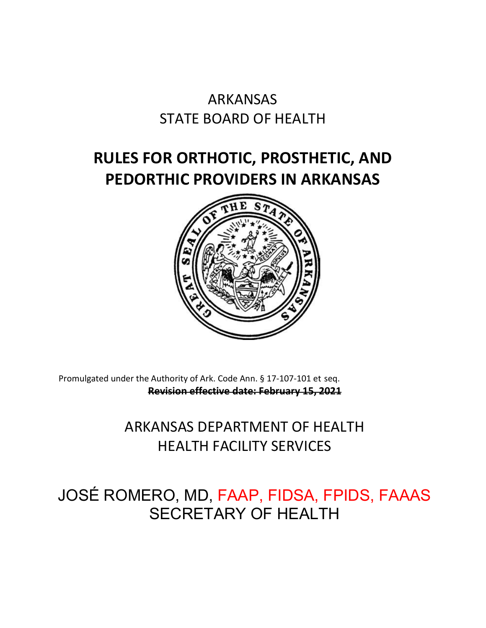# ARKANSAS STATE BOARD OF HEALTH

# **RULES FOR ORTHOTIC, PROSTHETIC, AND PEDORTHIC PROVIDERS IN ARKANSAS**



Promulgated under the Authority of Ark. Code Ann. § 17-107-101 et seq. **Revision effective date: February 15, 2021**

# ARKANSAS DEPARTMENT OF HEALTH HEALTH FACILITY SERVICES

# JOSÉ ROMERO, MD, FAAP, FIDSA, FPIDS, FAAAS SECRETARY OF HEALTH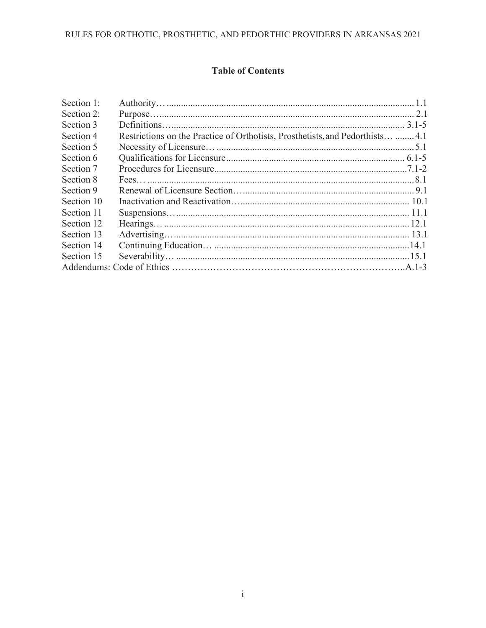### RULES FOR ORTHOTIC, PROSTHETIC, AND PEDORTHIC PROVIDERS IN ARKANSAS 2021

### **Table of Contents**

| Section 1: |                                                                               |  |
|------------|-------------------------------------------------------------------------------|--|
| Section 2: |                                                                               |  |
| Section 3  |                                                                               |  |
| Section 4  | Restrictions on the Practice of Orthotists, Prosthetists, and Pedorthists 4.1 |  |
| Section 5  |                                                                               |  |
| Section 6  |                                                                               |  |
| Section 7  |                                                                               |  |
| Section 8  |                                                                               |  |
| Section 9  |                                                                               |  |
| Section 10 |                                                                               |  |
| Section 11 |                                                                               |  |
| Section 12 |                                                                               |  |
| Section 13 |                                                                               |  |
| Section 14 |                                                                               |  |
| Section 15 |                                                                               |  |
|            |                                                                               |  |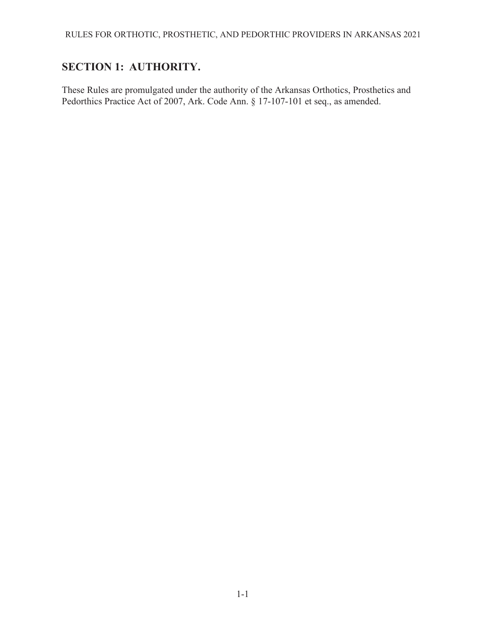## <span id="page-2-0"></span>**SECTION 1: AUTHORITY.**

These Rules are promulgated under the authority of the Arkansas Orthotics, Prosthetics and Pedorthics Practice Act of 2007, Ark. Code Ann. § 17-107-101 et seq., as amended.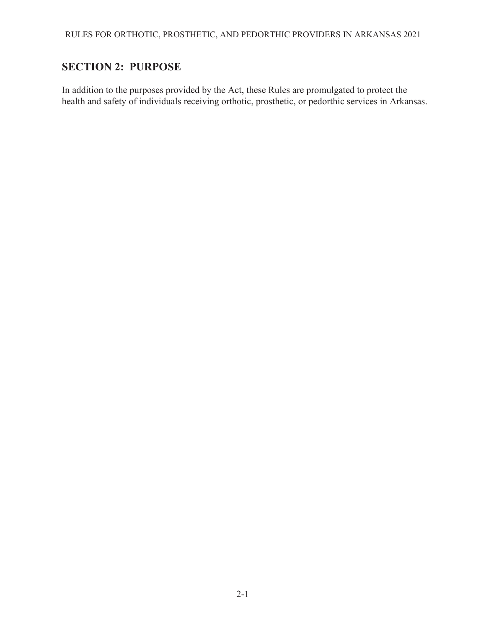### <span id="page-3-0"></span>**SECTION 2: PURPOSE**

In addition to the purposes provided by the Act, these Rules are promulgated to protect the health and safety of individuals receiving orthotic, prosthetic, or pedorthic services in Arkansas.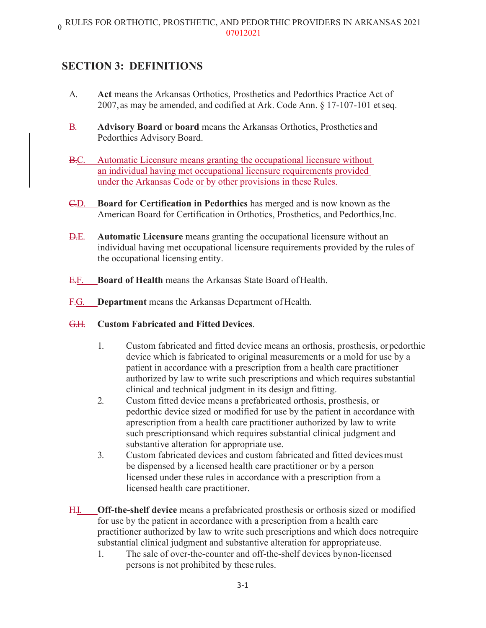### <span id="page-4-0"></span>**SECTION 3: DEFINITIONS**

- A. **Act** means the Arkansas Orthotics, Prosthetics and Pedorthics Practice Act of 2007,as may be amended, and codified at Ark. Code Ann. § 17-107-101 etseq.
- B. **Advisory Board** or **board** means the Arkansas Orthotics, Prosthetics and Pedorthics Advisory Board.
- B.C. Automatic Licensure means granting the occupational licensure without an individual having met occupational licensure requirements provided under the Arkansas Code or by other provisions in these Rules.
- C.D. **Board for Certification in Pedorthics** has merged and is now known as the American Board for Certification in Orthotics, Prosthetics, and Pedorthics,Inc.
- D.E. **Automatic Licensure** means granting the occupational licensure without an individual having met occupational licensure requirements provided by the rules of the occupational licensing entity.
- E.F. **Board of Health** means the Arkansas State Board ofHealth.
- F.G. **Department** means the Arkansas Department of Health.
- G.H. **Custom Fabricated and Fitted Devices**.
	- 1. Custom fabricated and fitted device means an orthosis, prosthesis, orpedorthic device which is fabricated to original measurements or a mold for use by a patient in accordance with a prescription from a health care practitioner authorized by law to write such prescriptions and which requires substantial clinical and technical judgment in its design and fitting.
	- 2. Custom fitted device means a prefabricated orthosis, prosthesis, or pedorthic device sized or modified for use by the patient in accordance with aprescription from a health care practitioner authorized by law to write such prescriptionsand which requires substantial clinical judgment and substantive alteration for appropriate use.
	- 3. Custom fabricated devices and custom fabricated and fitted devicesmust be dispensed by a licensed health care practitioner or by a person licensed under these rules in accordance with a prescription from a licensed health care practitioner.
- H.I. **Off-the-shelf device** means a prefabricated prosthesis or orthosis sized or modified for use by the patient in accordance with a prescription from a health care practitioner authorized by law to write such prescriptions and which does notrequire substantial clinical judgment and substantive alteration for appropriateuse.
	- 1. The sale of over-the-counter and off-the-shelf devices bynon-licensed persons is not prohibited by these rules.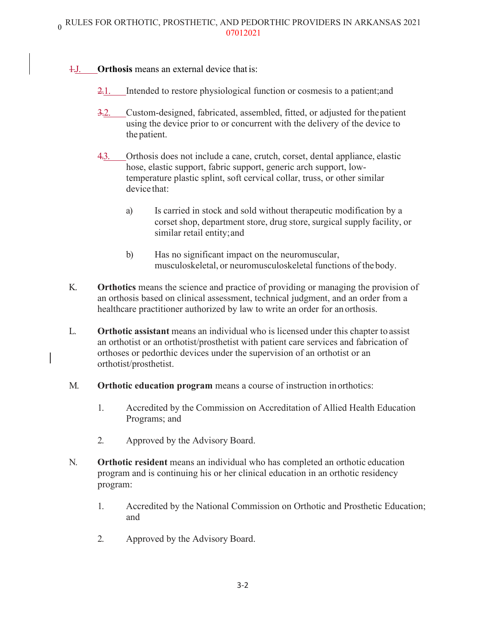### 1.J. **Orthosis** means an external device that is:

- 2.1. Intended to restore physiological function or cosmesis to a patient;and
- 3.2. Custom-designed, fabricated, assembled, fitted, or adjusted for thepatient using the device prior to or concurrent with the delivery of the device to the patient.
- 4.3. Orthosis does not include a cane, crutch, corset, dental appliance, elastic hose, elastic support, fabric support, generic arch support, lowtemperature plastic splint, soft cervical collar, truss, or other similar device that:
	- a) Is carried in stock and sold without therapeutic modification by a corset shop, department store, drug store, surgical supply facility, or similar retail entity;and
	- b) Has no significant impact on the neuromuscular, musculoskeletal, or neuromusculoskeletal functions of the body.
- K. **Orthotics** means the science and practice of providing or managing the provision of an orthosis based on clinical assessment, technical judgment, and an order from a healthcare practitioner authorized by law to write an order for an orthosis.
- L. **Orthotic assistant** means an individual who is licensed under this chapter to assist an orthotist or an orthotist/prosthetist with patient care services and fabrication of orthoses or pedorthic devices under the supervision of an orthotist or an orthotist/prosthetist.
- M. **Orthotic education program** means a course of instruction inorthotics:
	- 1. Accredited by the Commission on Accreditation of Allied Health Education Programs; and
	- 2. Approved by the Advisory Board.
- N. **Orthotic resident** means an individual who has completed an orthotic education program and is continuing his or her clinical education in an orthotic residency program:
	- 1. Accredited by the National Commission on Orthotic and Prosthetic Education; and
	- 2. Approved by the Advisory Board.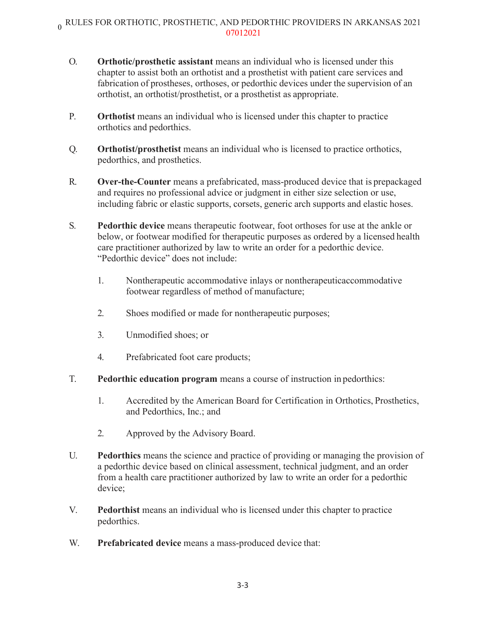# $_0$  RULES FOR ORTHOTIC, PROSTHETIC, AND PEDORTHIC PROVIDERS IN ARKANSAS 2021 07012021

- O. **Orthotic/prosthetic assistant** means an individual who is licensed under this chapter to assist both an orthotist and a prosthetist with patient care services and fabrication of prostheses, orthoses, or pedorthic devices under the supervision of an orthotist, an orthotist/prosthetist, or a prosthetist as appropriate.
- P. **Orthotist** means an individual who is licensed under this chapter to practice orthotics and pedorthics.
- Q. **Orthotist/prosthetist** means an individual who is licensed to practice orthotics, pedorthics, and prosthetics.
- R. **Over-the-Counter** means a prefabricated, mass-produced device that is prepackaged and requires no professional advice or judgment in either size selection or use, including fabric or elastic supports, corsets, generic arch supports and elastic hoses.
- S. **Pedorthic device** means therapeutic footwear, foot orthoses for use at the ankle or below, or footwear modified for therapeutic purposes as ordered by a licensed health care practitioner authorized by law to write an order for a pedorthic device. "Pedorthic device" does not include:
	- 1. Nontherapeutic accommodative inlays or nontherapeuticaccommodative footwear regardless of method of manufacture;
	- 2. Shoes modified or made for nontherapeutic purposes;
	- 3. Unmodified shoes; or
	- 4. Prefabricated foot care products;
- T. **Pedorthic education program** means a course of instruction in pedorthics:
	- 1. Accredited by the American Board for Certification in Orthotics, Prosthetics, and Pedorthics, Inc.; and
	- 2. Approved by the Advisory Board.
- U. **Pedorthics** means the science and practice of providing or managing the provision of a pedorthic device based on clinical assessment, technical judgment, and an order from a health care practitioner authorized by law to write an order for a pedorthic device;
- V. **Pedorthist** means an individual who is licensed under this chapter to practice pedorthics.
- W. **Prefabricated device** means a mass-produced device that: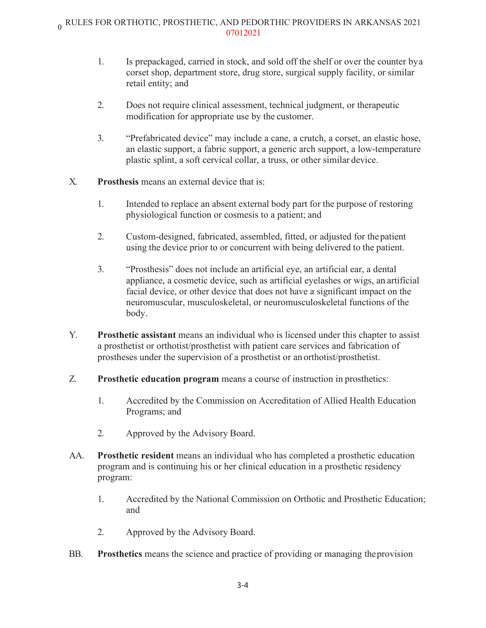# $_0$  RULES FOR ORTHOTIC, PROSTHETIC, AND PEDORTHIC PROVIDERS IN ARKANSAS 2021 07012021

- 1. Is prepackaged, carried in stock, and sold off the shelf or over the counter bya corset shop, department store, drug store, surgical supply facility, or similar retail entity; and
- 2. Does not require clinical assessment, technical judgment, or therapeutic modification for appropriate use by the customer.
- 3. "Prefabricated device" may include a cane, a crutch, a corset, an elastic hose, an elastic support, a fabric support, a generic arch support, a low-temperature plastic splint, a soft cervical collar, a truss, or other similar device.
- X. **Prosthesis** means an external device that is:
	- 1. Intended to replace an absent external body part for the purpose of restoring physiological function or cosmesis to a patient; and
	- 2. Custom-designed, fabricated, assembled, fitted, or adjusted for thepatient using the device prior to or concurrent with being delivered to the patient.
	- 3. "Prosthesis" does not include an artificial eye, an artificial ear, a dental appliance, a cosmetic device, such as artificial eyelashes or wigs, an artificial facial device, or other device that does not have a significant impact on the neuromuscular, musculoskeletal, or neuromusculoskeletal functions of the body.
- Y. **Prosthetic assistant** means an individual who is licensed under this chapter to assist a prosthetist or orthotist/prosthetist with patient care services and fabrication of prostheses under the supervision of a prosthetist or an orthotist/prosthetist.
- Z. **Prosthetic education program** means a course of instruction in prosthetics:
	- 1. Accredited by the Commission on Accreditation of Allied Health Education Programs; and
	- 2. Approved by the Advisory Board.
- AA. **Prosthetic resident** means an individual who has completed a prosthetic education program and is continuing his or her clinical education in a prosthetic residency program:
	- 1. Accredited by the National Commission on Orthotic and Prosthetic Education; and
	- 2. Approved by the Advisory Board.
- BB. **Prosthetics** means the science and practice of providing or managing theprovision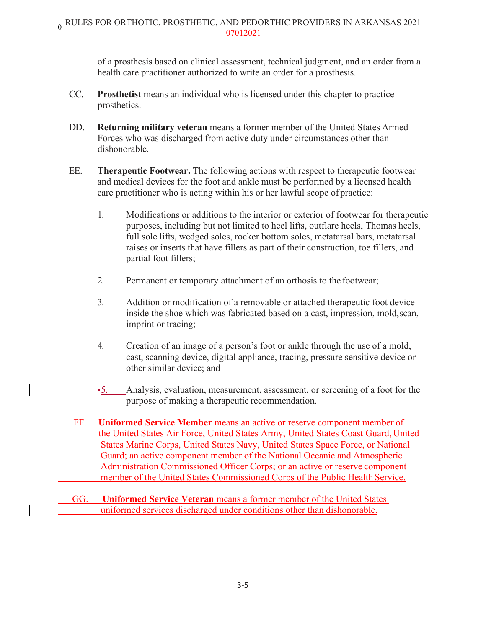of a prosthesis based on clinical assessment, technical judgment, and an order from a health care practitioner authorized to write an order for a prosthesis.

- CC. **Prosthetist** means an individual who is licensed under this chapter to practice prosthetics.
- DD. **Returning military veteran** means a former member of the United States Armed Forces who was discharged from active duty under circumstances other than dishonorable.
- EE. **Therapeutic Footwear.** The following actions with respect to therapeutic footwear and medical devices for the foot and ankle must be performed by a licensed health care practitioner who is acting within his or her lawful scope of practice:
	- 1. Modifications or additions to the interior or exterior of footwear for therapeutic purposes, including but not limited to heel lifts, outflare heels, Thomas heels, full sole lifts, wedged soles, rocker bottom soles, metatarsal bars, metatarsal raises or inserts that have fillers as part of their construction, toe fillers, and partial foot fillers;
	- 2. Permanent or temporary attachment of an orthosis to the footwear;
	- 3. Addition or modification of a removable or attached therapeutic foot device inside the shoe which was fabricated based on a cast, impression, mold,scan, imprint or tracing;
	- 4. Creation of an image of a person's foot or ankle through the use of a mold, cast, scanning device, digital appliance, tracing, pressure sensitive device or other similar device; and
	- •5. Analysis, evaluation, measurement, assessment, or screening of a foot for the purpose of making a therapeutic recommendation.
- FF. **Uniformed Service Member means an active or reserve component member of** the United States Air Force, United States Army, United States Coast Guard, United States Marine Corps, United States Navy, United States Space Force, or National Guard; an active component member of the National Oceanic and Atmospheric Administration Commissioned Officer Corps; or an active or reserve component member of the United States Commissioned Corps of the Public Health Service.

GG. **Uniformed Service Veteran** means a former member of the United States uniformed services discharged under conditions other than dishonorable.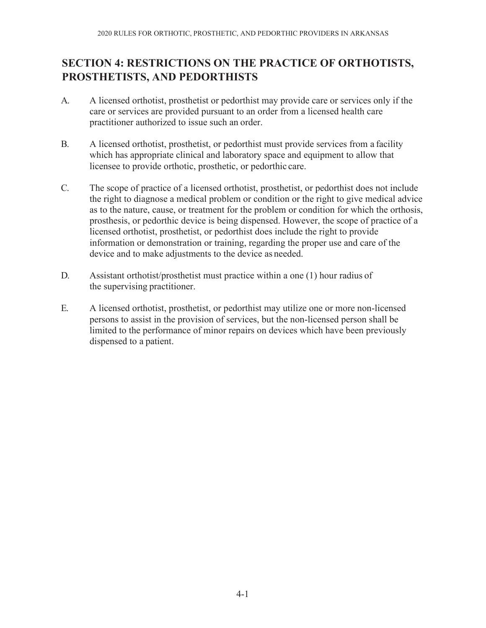### <span id="page-9-0"></span>**SECTION 4: RESTRICTIONS ON THE PRACTICE OF ORTHOTISTS, PROSTHETISTS, AND PEDORTHISTS**

- A. A licensed orthotist, prosthetist or pedorthist may provide care or services only if the care or services are provided pursuant to an order from a licensed health care practitioner authorized to issue such an order.
- B. A licensed orthotist, prosthetist, or pedorthist must provide services from a facility which has appropriate clinical and laboratory space and equipment to allow that licensee to provide orthotic, prosthetic, or pedorthic care.
- C. The scope of practice of a licensed orthotist, prosthetist, or pedorthist does not include the right to diagnose a medical problem or condition or the right to give medical advice as to the nature, cause, or treatment for the problem or condition for which the orthosis, prosthesis, or pedorthic device is being dispensed. However, the scope of practice of a licensed orthotist, prosthetist, or pedorthist does include the right to provide information or demonstration or training, regarding the proper use and care of the device and to make adjustments to the device as needed.
- D. Assistant orthotist/prosthetist must practice within a one (1) hour radius of the supervising practitioner.
- E. A licensed orthotist, prosthetist, or pedorthist may utilize one or more non-licensed persons to assist in the provision of services, but the non-licensed person shall be limited to the performance of minor repairs on devices which have been previously dispensed to a patient.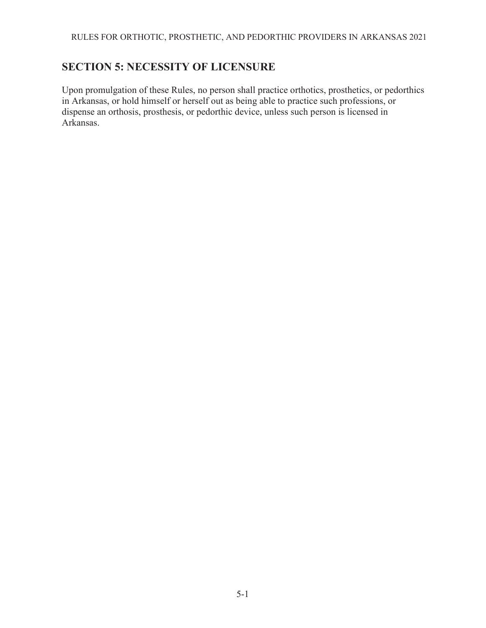### <span id="page-10-0"></span>**SECTION 5: NECESSITY OF LICENSURE**

Upon promulgation of these Rules, no person shall practice orthotics, prosthetics, or pedorthics in Arkansas, or hold himself or herself out as being able to practice such professions, or dispense an orthosis, prosthesis, or pedorthic device, unless such person is licensed in Arkansas.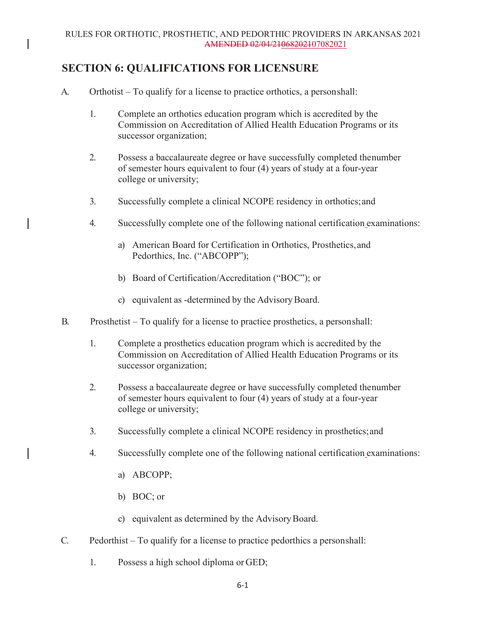### <span id="page-11-0"></span>**SECTION 6: QUALIFICATIONS FOR LICENSURE**

- A. Orthotist To qualify for a license to practice orthotics, a personshall:
	- 1. Complete an orthotics education program which is accredited by the Commission on Accreditation of Allied Health Education Programs or its successor organization;
	- 2. Possess a baccalaureate degree or have successfully completed thenumber of semester hours equivalent to four (4) years of study at a four-year college or university;
	- 3. Successfully complete a clinical NCOPE residency in orthotics;and
	- 4. Successfully complete one of the following national certification examinations:
		- a) American Board for Certification in Orthotics, Prosthetics,and Pedorthics, Inc. ("ABCOPP");
		- b) Board of Certification/Accreditation ("BOC"); or
		- c) equivalent as -determined by the AdvisoryBoard.
- B. Prosthetist To qualify for a license to practice prosthetics, a personshall:
	- 1. Complete a prosthetics education program which is accredited by the Commission on Accreditation of Allied Health Education Programs or its successor organization;
	- 2. Possess a baccalaureate degree or have successfully completed thenumber of semester hours equivalent to four (4) years of study at a four-year college or university;
	- 3. Successfully complete a clinical NCOPE residency in prosthetics;and
	- 4. Successfully complete one of the following national certification examinations:
		- a) ABCOPP;
		- b) BOC; or
		- c) equivalent as determined by the AdvisoryBoard.
- C. Pedorthist To qualify for a license to practice pedorthics a personshall:
	- 1. Possess a high school diploma or GED;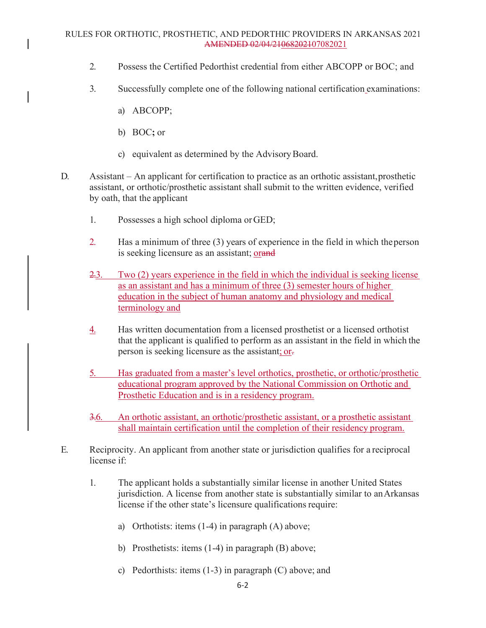#### RULES FOR ORTHOTIC, PROSTHETIC, AND PEDORTHIC PROVIDERS IN ARKANSAS 2021 AMENDED 02/04/21068202107082021

- 2. Possess the Certified Pedorthist credential from either ABCOPP or BOC; and
- 3. Successfully complete one of the following national certification examinations:
	- a) ABCOPP;
	- b) BOC**;** or
	- c) equivalent as determined by the AdvisoryBoard.
- D. Assistant An applicant for certification to practice as an orthotic assistant, prosthetic assistant, or orthotic/prosthetic assistant shall submit to the written evidence, verified by oath, that the applicant
	- 1. Possesses a high school diploma orGED;
	- 2. Has a minimum of three (3) years of experience in the field in which theperson is seeking licensure as an assistant; orand
	- 2.3. Two (2) years experience in the field in which the individual is seeking license as an assistant and has a minimum of three (3) semester hours of higher education in the subject of human anatomy and physiology and medical terminology and
	- 4. Has written documentation from a licensed prosthetist or a licensed orthotist that the applicant is qualified to perform as an assistant in the field in which the person is seeking licensure as the assistant; or-
	- 5. Has graduated from a master's level orthotics, prosthetic, or orthotic/prosthetic educational program approved by the National Commission on Orthotic and Prosthetic Education and is in a residency program.
	- 3.6. An orthotic assistant, an orthotic/prosthetic assistant, or a prosthetic assistant shall maintain certification until the completion of their residency program.
- E. Reciprocity. An applicant from another state or jurisdiction qualifies for a reciprocal license if:
	- 1. The applicant holds a substantially similar license in another United States jurisdiction. A license from another state is substantially similar to anArkansas license if the other state's licensure qualifications require:
		- a) Orthotists: items (1-4) in paragraph (A) above;
		- b) Prosthetists: items (1-4) in paragraph (B) above;
		- c) Pedorthists: items (1-3) in paragraph (C) above; and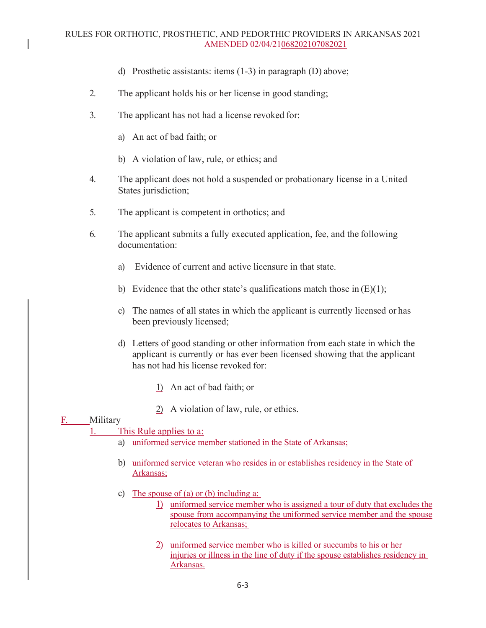- d) Prosthetic assistants: items (1-3) in paragraph (D) above;
- 2. The applicant holds his or her license in good standing;
- 3. The applicant has not had a license revoked for:
	- a) An act of bad faith; or
	- b) A violation of law, rule, or ethics; and
- 4. The applicant does not hold a suspended or probationary license in a United States jurisdiction;
- 5. The applicant is competent in orthotics; and
- 6. The applicant submits a fully executed application, fee, and the following documentation:
	- a) Evidence of current and active licensure in that state.
	- b) Evidence that the other state's qualifications match those in  $(E)(1)$ ;
	- c) The names of all states in which the applicant is currently licensed or has been previously licensed;
	- d) Letters of good standing or other information from each state in which the applicant is currently or has ever been licensed showing that the applicant has not had his license revoked for:
		- 1) An act of bad faith; or
		- 2) A violation of law, rule, or ethics.

### F. Military

### 1. This Rule applies to a:

- a) uniformed service member stationed in the State of Arkansas;
- b) uniformed service veteran who resides in or establishes residency in the State of Arkansas;
- c) The spouse of (a) or (b) including a:
	- 1) uniformed service member who is assigned a tour of duty that excludes the spouse from accompanying the uniformed service member and the spouse relocates to Arkansas;
	- 2) uniformed service member who is killed or succumbs to his or her injuries or illness in the line of duty if the spouse establishes residency in Arkansas.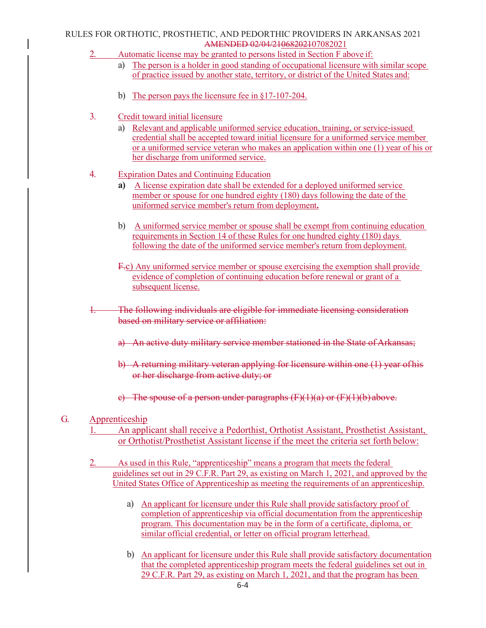#### RULES FOR ORTHOTIC, PROSTHETIC, AND PEDORTHIC PROVIDERS IN ARKANSAS 2021 AMENDED 02/04/21068202107082021

- 2. Automatic license may be granted to persons listed in Section F above if:
	- a) The person is a holder in good standing of occupational licensure with similar scope of practice issued by another state, territory, or district of the United States and:
	- b) The person pays the licensure fee in §17-107-204.
- 3. Credit toward initial licensure
	- a) Relevant and applicable uniformed service education, training, or service-issued credential shall be accepted toward initial licensure for a uniformed service member or a uniformed service veteran who makes an application within one (1) year of his or her discharge from uniformed service.
- 4. Expiration Dates and Continuing Education
	- **a)** A license expiration date shall be extended for a deployed uniformed service member or spouse for one hundred eighty (180) days following the date of the uniformed service member's return from deployment**.**
	- b) A uniformed service member or spouse shall be exempt from continuing education requirements in Section 14 of these Rules for one hundred eighty (180) days following the date of the uniformed service member's return from deployment.
	- F.c) Any uniformed service member or spouse exercising the exemption shall provide evidence of completion of continuing education before renewal or grant of a subsequent license.
- The following individuals are eligible for immediate licensing consideration based on military service or affiliation:
	- a) An active duty military service member stationed in the State of Arkansas;
	- b) A returning military veteran applying for licensure within one (1) year ofhis or her discharge from active duty; or
	- c) The spouse of a person under paragraphs  $(F)(1)(a)$  or  $(F)(1)(b)$  above.

### G. Apprenticeship

- 1. An applicant shall receive a Pedorthist, Orthotist Assistant, Prosthetist Assistant, or Orthotist/Prosthetist Assistant license if the meet the criteria set forth below:
- 2. As used in this Rule, "apprenticeship" means a program that meets the federal guidelines set out in 29 C.F.R. Part 29, as existing on March 1, 2021, and approved by the United States Office of Apprenticeship as meeting the requirements of an apprenticeship.
	- a) An applicant for licensure under this Rule shall provide satisfactory proof of completion of apprenticeship via official documentation from the apprenticeship program. This documentation may be in the form of a certificate, diploma, or similar official credential, or letter on official program letterhead.
	- b) An applicant for licensure under this Rule shall provide satisfactory documentation that the completed apprenticeship program meets the federal guidelines set out in 29 C.F.R. Part 29, as existing on March 1, 2021, and that the program has been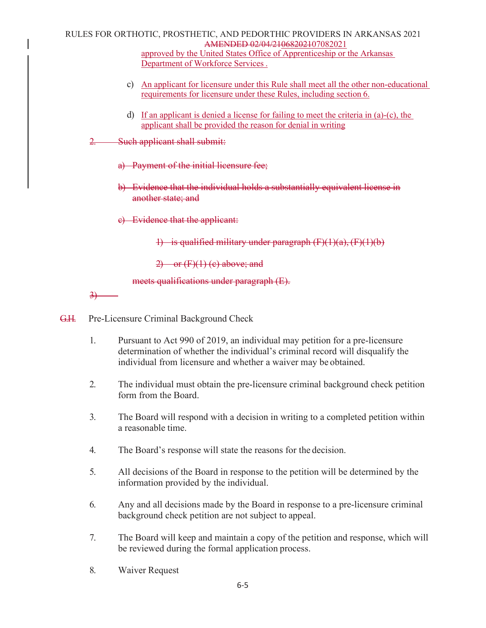#### RULES FOR ORTHOTIC, PROSTHETIC, AND PEDORTHIC PROVIDERS IN ARKANSAS 2021 AMENDED 02/04/21068202107082021 approved by the United States Office of Apprenticeship or the Arkansas Department of Workforce Services .

- c) An applicant for licensure under this Rule shall meet all the other non-educational requirements for licensure under these Rules, including section 6.
- d) If an applicant is denied a license for failing to meet the criteria in (a)-(c), the applicant shall be provided the reason for denial in writing
- 2. Such applicant shall submit:
	- a) Payment of the initial licensure fee;
	- b) Evidence that the individual holds a substantially equivalent license in another state; and
	- c) Evidence that the applicant:

1) is qualified military under paragraph  $(F)(1)(a)$ ,  $(F)(1)(b)$ 

 $2)$  or  $(F)(1)$  (c) above; and

meets qualifications under paragraph (E).

3)

- G.H. Pre-Licensure Criminal Background Check
	- 1. Pursuant to Act 990 of 2019, an individual may petition for a pre-licensure determination of whether the individual's criminal record will disqualify the individual from licensure and whether a waiver may be obtained.
	- 2. The individual must obtain the pre-licensure criminal background check petition form from the Board.
	- 3. The Board will respond with a decision in writing to a completed petition within a reasonable time.
	- 4. The Board's response will state the reasons for the decision.
	- 5. All decisions of the Board in response to the petition will be determined by the information provided by the individual.
	- 6. Any and all decisions made by the Board in response to a pre-licensure criminal background check petition are not subject to appeal.
	- 7. The Board will keep and maintain a copy of the petition and response, which will be reviewed during the formal application process.
	- 8. Waiver Request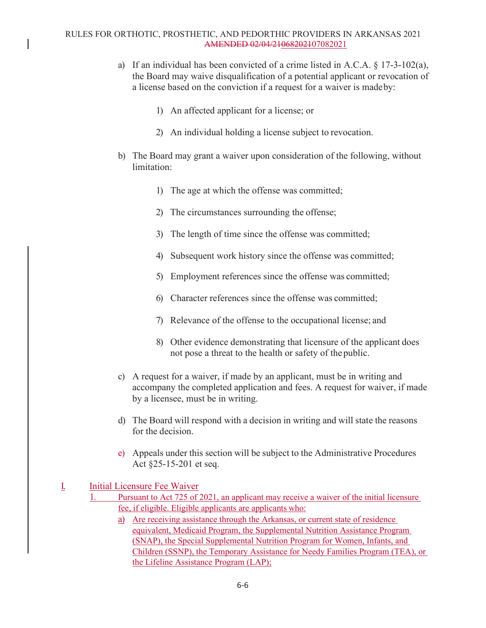#### RULES FOR ORTHOTIC, PROSTHETIC, AND PEDORTHIC PROVIDERS IN ARKANSAS 2021 AMENDED 02/04/21068202107082021

- a) If an individual has been convicted of a crime listed in A.C.A. § 17-3-102(a), the Board may waive disqualification of a potential applicant or revocation of a license based on the conviction if a request for a waiver is madeby:
	- 1) An affected applicant for a license; or
	- 2) An individual holding a license subject to revocation.
- b) The Board may grant a waiver upon consideration of the following, without limitation:
	- 1) The age at which the offense was committed;
	- 2) The circumstances surrounding the offense;
	- 3) The length of time since the offense was committed;
	- 4) Subsequent work history since the offense was committed;
	- 5) Employment references since the offense was committed;
	- 6) Character references since the offense was committed;
	- 7) Relevance of the offense to the occupational license; and
	- 8) Other evidence demonstrating that licensure of the applicant does not pose a threat to the health or safety of the public.
- c) A request for a waiver, if made by an applicant, must be in writing and accompany the completed application and fees. A request for waiver, if made by a licensee, must be in writing.
- d) The Board will respond with a decision in writing and will state the reasons for the decision.
- e) Appeals under this section will be subject to the Administrative Procedures Act §25-15-201 et seq.
- I. Initial Licensure Fee Waiver
	- 1. Pursuant to Act 725 of 2021, an applicant may receive a waiver of the initial licensure fee, if eligible. Eligible applicants are applicants who:
		- a) Are receiving assistance through the Arkansas, or current state of residence equivalent, Medicaid Program, the Supplemental Nutrition Assistance Program (SNAP), the Special Supplemental Nutrition Program for Women, Infants, and Children (SSNP), the Temporary Assistance for Needy Families Program (TEA), or the Lifeline Assistance Program (LAP);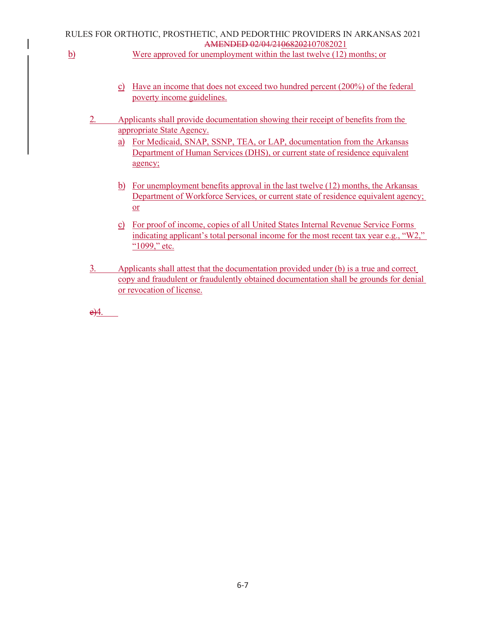### RULES FOR ORTHOTIC, PROSTHETIC, AND PEDORTHIC PROVIDERS IN ARKANSAS 2021 AMENDED 02/04/21068202107082021

- b) Were approved for unemployment within the last twelve (12) months; or
	- c) Have an income that does not exceed two hundred percent (200%) of the federal poverty income guidelines.
	- 2. Applicants shall provide documentation showing their receipt of benefits from the appropriate State Agency.
		- a) For Medicaid, SNAP, SSNP, TEA, or LAP, documentation from the Arkansas Department of Human Services (DHS), or current state of residence equivalent agency;
		- b) For unemployment benefits approval in the last twelve (12) months, the Arkansas Department of Workforce Services, or current state of residence equivalent agency; or
		- c) For proof of income, copies of all United States Internal Revenue Service Forms indicating applicant's total personal income for the most recent tax year e.g., "W2," "1099," etc.
	- 3. Applicants shall attest that the documentation provided under (b) is a true and correct copy and fraudulent or fraudulently obtained documentation shall be grounds for denial or revocation of license.

 $e)4.$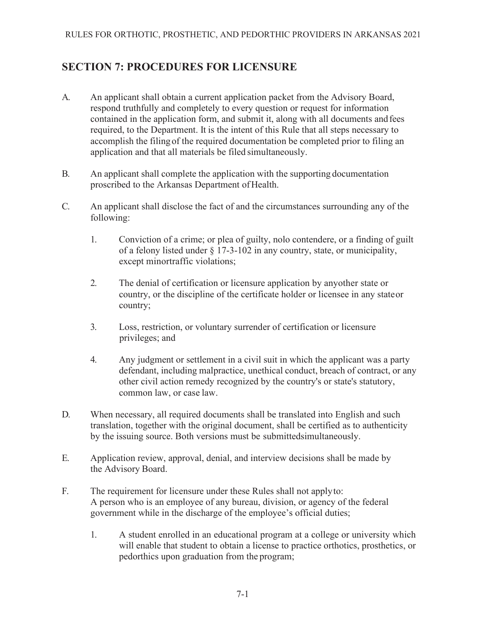## <span id="page-18-0"></span>**SECTION 7: PROCEDURES FOR LICENSURE**

- A. An applicant shall obtain a current application packet from the Advisory Board, respond truthfully and completely to every question or request for information contained in the application form, and submit it, along with all documents andfees required, to the Department. It is the intent of this Rule that all steps necessary to accomplish the filingof the required documentation be completed prior to filing an application and that all materials be filed simultaneously.
- B. An applicant shall complete the application with the supporting documentation proscribed to the Arkansas Department of Health.
- C. An applicant shall disclose the fact of and the circumstances surrounding any of the following:
	- 1. Conviction of a crime; or plea of guilty, nolo contendere, or a finding of guilt of a felony listed under § 17-3-102 in any country, state, or municipality, except minortraffic violations;
	- 2. The denial of certification or licensure application by anyother state or country, or the discipline of the certificate holder or licensee in any stateor country;
	- 3. Loss, restriction, or voluntary surrender of certification or licensure privileges; and
	- 4. Any judgment or settlement in a civil suit in which the applicant was a party defendant, including malpractice, unethical conduct, breach of contract, or any other civil action remedy recognized by the country's or state's statutory, common law, or case law.
- D. When necessary, all required documents shall be translated into English and such translation, together with the original document, shall be certified as to authenticity by the issuing source. Both versions must be submittedsimultaneously.
- E. Application review, approval, denial, and interview decisions shall be made by the Advisory Board.
- F. The requirement for licensure under these Rules shall not applyto: A person who is an employee of any bureau, division, or agency of the federal government while in the discharge of the employee's official duties;
	- 1. A student enrolled in an educational program at a college or university which will enable that student to obtain a license to practice orthotics, prosthetics, or pedorthics upon graduation from the program;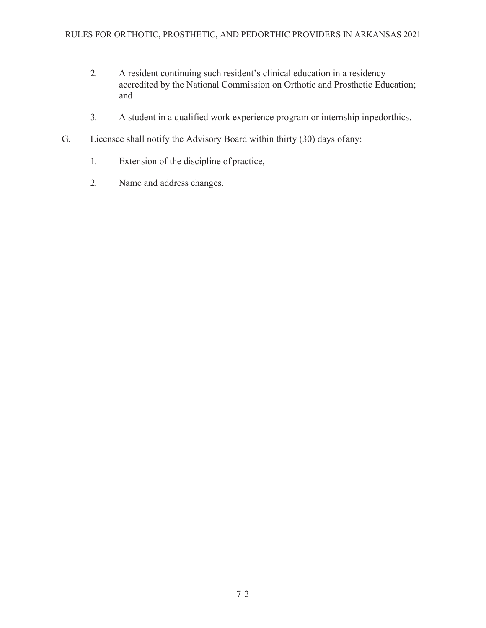- 2. A resident continuing such resident's clinical education in a residency accredited by the National Commission on Orthotic and Prosthetic Education; and
- 3. A student in a qualified work experience program or internship inpedorthics.
- G. Licensee shall notify the Advisory Board within thirty (30) days ofany:
	- 1. Extension of the discipline of practice,
	- 2. Name and address changes.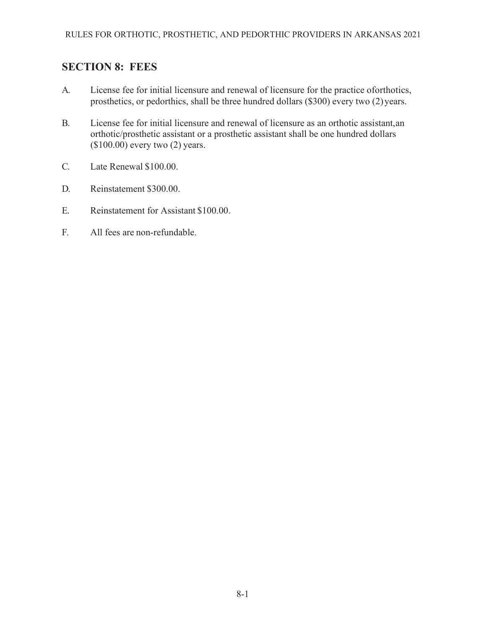## <span id="page-20-0"></span>**SECTION 8: FEES**

- A. License fee for initial licensure and renewal of licensure for the practice oforthotics, prosthetics, or pedorthics, shall be three hundred dollars (\$300) every two (2)years.
- B. License fee for initial licensure and renewal of licensure as an orthotic assistant,an orthotic/prosthetic assistant or a prosthetic assistant shall be one hundred dollars (\$100.00) every two (2) years.
- C. Late Renewal \$100.00.
- D. Reinstatement \$300.00.
- E. Reinstatement for Assistant \$100.00.
- F. All fees are non-refundable.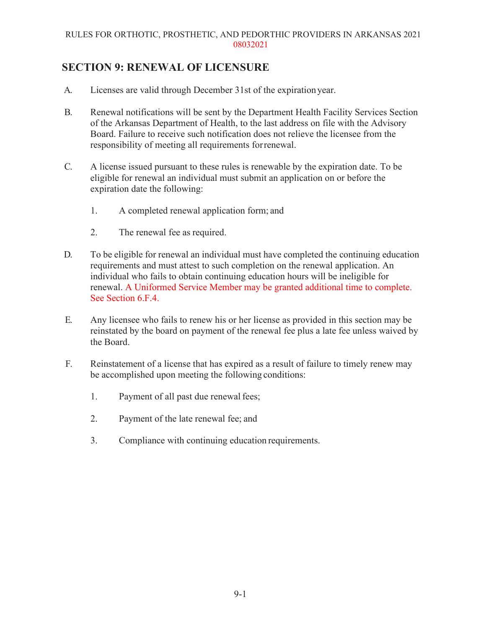#### RULES FOR ORTHOTIC, PROSTHETIC, AND PEDORTHIC PROVIDERS IN ARKANSAS 2021 08032021

### **SECTION 9: RENEWAL OF LICENSURE**

- A. Licenses are valid through December 31st of the expirationyear.
- B. Renewal notifications will be sent by the Department Health Facility Services Section of the Arkansas Department of Health, to the last address on file with the Advisory Board. Failure to receive such notification does not relieve the licensee from the responsibility of meeting all requirements forrenewal.
- C. A license issued pursuant to these rules is renewable by the expiration date. To be eligible for renewal an individual must submit an application on or before the expiration date the following:
	- 1. A completed renewal application form; and
	- 2. The renewal fee as required.
- D. To be eligible for renewal an individual must have completed the continuing education requirements and must attest to such completion on the renewal application. An individual who fails to obtain continuing education hours will be ineligible for renewal. A Uniformed Service Member may be granted additional time to complete. See Section 6.F.4.
- E. Any licensee who fails to renew his or her license as provided in this section may be reinstated by the board on payment of the renewal fee plus a late fee unless waived by the Board.
- F. Reinstatement of a license that has expired as a result of failure to timely renew may be accomplished upon meeting the following conditions:
	- 1. Payment of all past due renewal fees;
	- 2. Payment of the late renewal fee; and
	- 3. Compliance with continuing education requirements.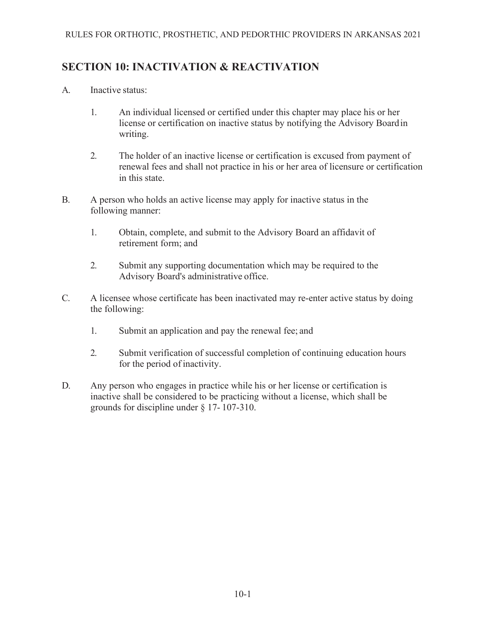### **SECTION 10: INACTIVATION & REACTIVATION**

- A. Inactive status:
	- 1. An individual licensed or certified under this chapter may place his or her license or certification on inactive status by notifying the Advisory Boardin writing.
	- 2. The holder of an inactive license or certification is excused from payment of renewal fees and shall not practice in his or her area of licensure or certification in this state.
- B. A person who holds an active license may apply for inactive status in the following manner:
	- 1. Obtain, complete, and submit to the Advisory Board an affidavit of retirement form; and
	- 2. Submit any supporting documentation which may be required to the Advisory Board's administrative office.
- C. A licensee whose certificate has been inactivated may re-enter active status by doing the following:
	- 1. Submit an application and pay the renewal fee; and
	- 2. Submit verification of successful completion of continuing education hours for the period of inactivity.
- D. Any person who engages in practice while his or her license or certification is inactive shall be considered to be practicing without a license, which shall be grounds for discipline under § 17- 107-310.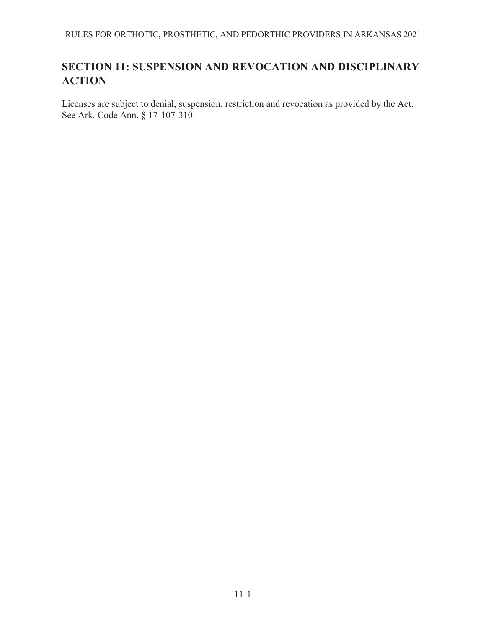## **SECTION 11: SUSPENSION AND REVOCATION AND DISCIPLINARY ACTION**

Licenses are subject to denial, suspension, restriction and revocation as provided by the Act. See Ark. Code Ann. § 17-107-310.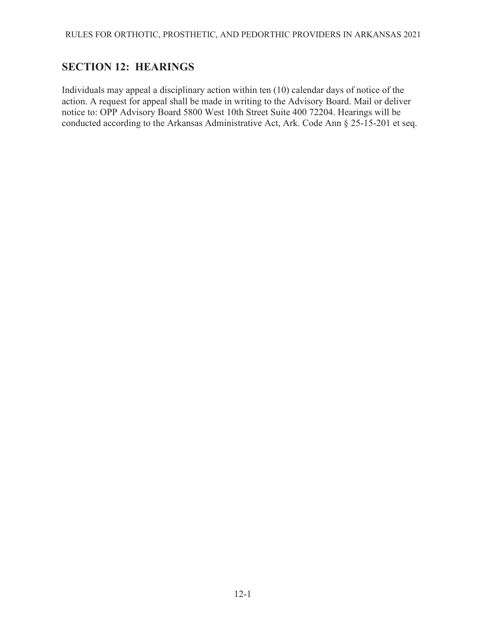## <span id="page-24-0"></span>**SECTION 12: HEARINGS**

Individuals may appeal a disciplinary action within ten (10) calendar days of notice of the action. A request for appeal shall be made in writing to the Advisory Board. Mail or deliver notice to: OPP Advisory Board 5800 West 10th Street Suite 400 72204. Hearings will be conducted according to the Arkansas Administrative Act, Ark. Code Ann § 25-15-201 et seq.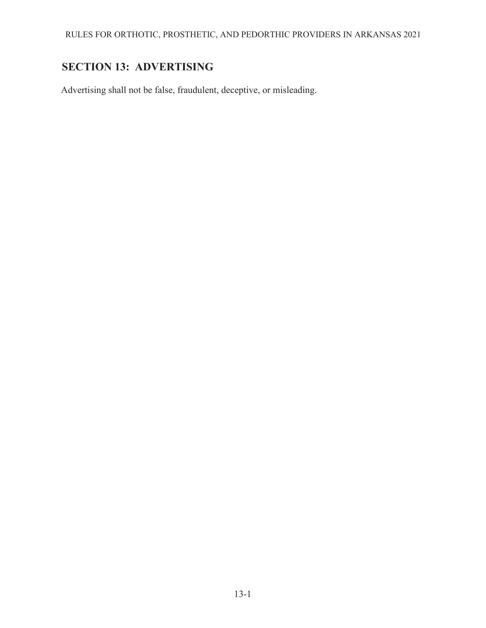## <span id="page-25-0"></span>**SECTION 13: ADVERTISING**

Advertising shall not be false, fraudulent, deceptive, or misleading.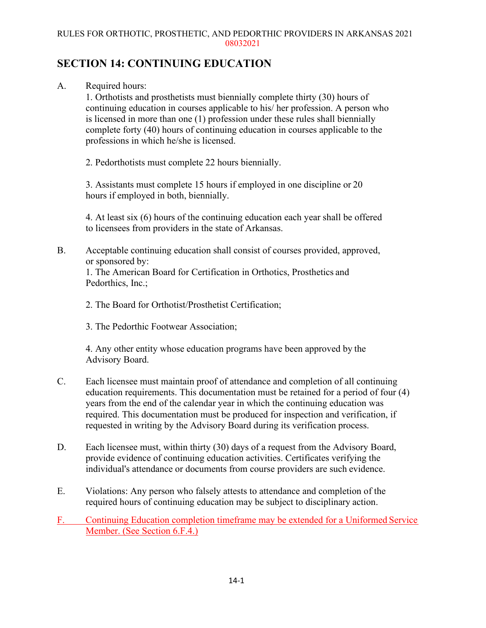#### RULES FOR ORTHOTIC, PROSTHETIC, AND PEDORTHIC PROVIDERS IN ARKANSAS 2021 08032021

### <span id="page-26-0"></span>**SECTION 14: CONTINUING EDUCATION**

A. Required hours:

1. Orthotists and prosthetists must biennially complete thirty (30) hours of continuing education in courses applicable to his/ her profession. A person who is licensed in more than one (1) profession under these rules shall biennially complete forty (40) hours of continuing education in courses applicable to the professions in which he/she is licensed.

2. Pedorthotists must complete 22 hours biennially.

3. Assistants must complete 15 hours if employed in one discipline or 20 hours if employed in both, biennially.

4. At least six (6) hours of the continuing education each year shall be offered to licensees from providers in the state of Arkansas.

B. Acceptable continuing education shall consist of courses provided, approved, or sponsored by:

1. The American Board for Certification in Orthotics, Prosthetics and Pedorthics, Inc.;

- 2. The Board for Orthotist/Prosthetist Certification;
- 3. The Pedorthic Footwear Association;

4. Any other entity whose education programs have been approved by the Advisory Board.

- C. Each licensee must maintain proof of attendance and completion of all continuing education requirements. This documentation must be retained for a period of four (4) years from the end of the calendar year in which the continuing education was required. This documentation must be produced for inspection and verification, if requested in writing by the Advisory Board during its verification process.
- D. Each licensee must, within thirty (30) days of a request from the Advisory Board, provide evidence of continuing education activities. Certificates verifying the individual's attendance or documents from course providers are such evidence.
- E. Violations: Any person who falsely attests to attendance and completion of the required hours of continuing education may be subject to disciplinary action.
- F. Continuing Education completion timeframe may be extended for a Uniformed Service Member. (See Section 6.F.4.)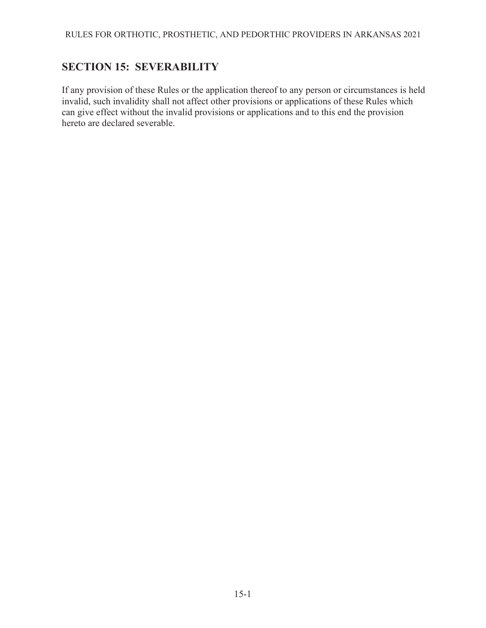## <span id="page-27-0"></span>**SECTION 15: SEVERABILITY**

If any provision of these Rules or the application thereof to any person or circumstances is held invalid, such invalidity shall not affect other provisions or applications of these Rules which can give effect without the invalid provisions or applications and to this end the provision hereto are declared severable.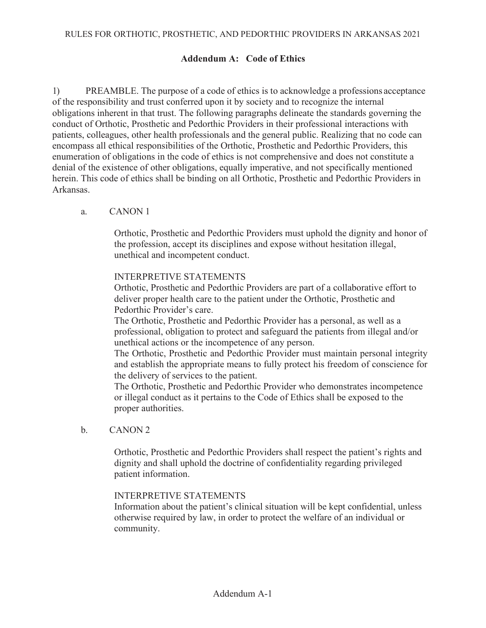### **Addendum A: Code of Ethics**

1) PREAMBLE. The purpose of a code of ethics is to acknowledge a professions acceptance of the responsibility and trust conferred upon it by society and to recognize the internal obligations inherent in that trust. The following paragraphs delineate the standards governing the conduct of Orthotic, Prosthetic and Pedorthic Providers in their professional interactions with patients, colleagues, other health professionals and the general public. Realizing that no code can encompass all ethical responsibilities of the Orthotic, Prosthetic and Pedorthic Providers, this enumeration of obligations in the code of ethics is not comprehensive and does not constitute a denial of the existence of other obligations, equally imperative, and not specifically mentioned herein. This code of ethics shall be binding on all Orthotic, Prosthetic and Pedorthic Providers in Arkansas.

### a. CANON 1

Orthotic, Prosthetic and Pedorthic Providers must uphold the dignity and honor of the profession, accept its disciplines and expose without hesitation illegal, unethical and incompetent conduct.

#### INTERPRETIVE STATEMENTS

Orthotic, Prosthetic and Pedorthic Providers are part of a collaborative effort to deliver proper health care to the patient under the Orthotic, Prosthetic and Pedorthic Provider's care.

The Orthotic, Prosthetic and Pedorthic Provider has a personal, as well as a professional, obligation to protect and safeguard the patients from illegal and/or unethical actions or the incompetence of any person.

The Orthotic, Prosthetic and Pedorthic Provider must maintain personal integrity and establish the appropriate means to fully protect his freedom of conscience for the delivery of services to the patient.

The Orthotic, Prosthetic and Pedorthic Provider who demonstrates incompetence or illegal conduct as it pertains to the Code of Ethics shall be exposed to the proper authorities.

b. CANON 2

Orthotic, Prosthetic and Pedorthic Providers shall respect the patient's rights and dignity and shall uphold the doctrine of confidentiality regarding privileged patient information.

#### INTERPRETIVE STATEMENTS

Information about the patient's clinical situation will be kept confidential, unless otherwise required by law, in order to protect the welfare of an individual or community.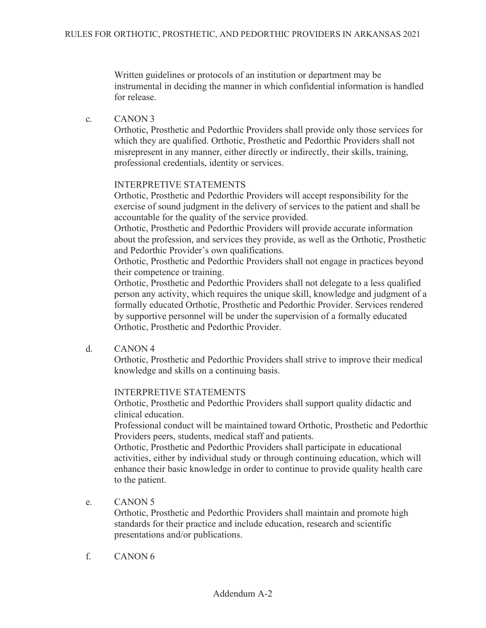Written guidelines or protocols of an institution or department may be instrumental in deciding the manner in which confidential information is handled for release.

c. CANON 3

Orthotic, Prosthetic and Pedorthic Providers shall provide only those services for which they are qualified. Orthotic, Prosthetic and Pedorthic Providers shall not misrepresent in any manner, either directly or indirectly, their skills, training, professional credentials, identity or services.

### INTERPRETIVE STATEMENTS

Orthotic, Prosthetic and Pedorthic Providers will accept responsibility for the exercise of sound judgment in the delivery of services to the patient and shall be accountable for the quality of the service provided.

Orthotic, Prosthetic and Pedorthic Providers will provide accurate information about the profession, and services they provide, as well as the Orthotic, Prosthetic and Pedorthic Provider's own qualifications.

Orthotic, Prosthetic and Pedorthic Providers shall not engage in practices beyond their competence or training.

Orthotic, Prosthetic and Pedorthic Providers shall not delegate to a less qualified person any activity, which requires the unique skill, knowledge and judgment of a formally educated Orthotic, Prosthetic and Pedorthic Provider. Services rendered by supportive personnel will be under the supervision of a formally educated Orthotic, Prosthetic and Pedorthic Provider.

d. CANON 4

Orthotic, Prosthetic and Pedorthic Providers shall strive to improve their medical knowledge and skills on a continuing basis.

### INTERPRETIVE STATEMENTS

Orthotic, Prosthetic and Pedorthic Providers shall support quality didactic and clinical education.

Professional conduct will be maintained toward Orthotic, Prosthetic and Pedorthic Providers peers, students, medical staff and patients.

Orthotic, Prosthetic and Pedorthic Providers shall participate in educational activities, either by individual study or through continuing education, which will enhance their basic knowledge in order to continue to provide quality health care to the patient.

e. CANON 5

Orthotic, Prosthetic and Pedorthic Providers shall maintain and promote high standards for their practice and include education, research and scientific presentations and/or publications.

f. CANON 6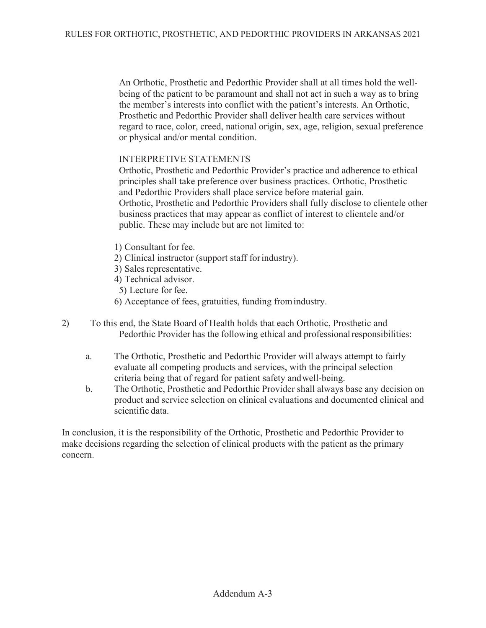An Orthotic, Prosthetic and Pedorthic Provider shall at all times hold the wellbeing of the patient to be paramount and shall not act in such a way as to bring the member's interests into conflict with the patient's interests. An Orthotic, Prosthetic and Pedorthic Provider shall deliver health care services without regard to race, color, creed, national origin, sex, age, religion, sexual preference or physical and/or mental condition.

### INTERPRETIVE STATEMENTS

Orthotic, Prosthetic and Pedorthic Provider's practice and adherence to ethical principles shall take preference over business practices. Orthotic, Prosthetic and Pedorthic Providers shall place service before material gain. Orthotic, Prosthetic and Pedorthic Providers shall fully disclose to clientele other business practices that may appear as conflict of interest to clientele and/or public. These may include but are not limited to:

- 1) Consultant for fee.
- 2) Clinical instructor (support staff forindustry).
- 3) Sales representative.
- 4) Technical advisor.
- 5) Lecture for fee.
- 6) Acceptance of fees, gratuities, funding fromindustry.
- 2) To this end, the State Board of Health holds that each Orthotic, Prosthetic and Pedorthic Provider has the following ethical and professional responsibilities:
	- a. The Orthotic, Prosthetic and Pedorthic Provider will always attempt to fairly evaluate all competing products and services, with the principal selection criteria being that of regard for patient safety andwell-being.
	- b. The Orthotic, Prosthetic and Pedorthic Provider shall always base any decision on product and service selection on clinical evaluations and documented clinical and scientific data.

In conclusion, it is the responsibility of the Orthotic, Prosthetic and Pedorthic Provider to make decisions regarding the selection of clinical products with the patient as the primary concern.